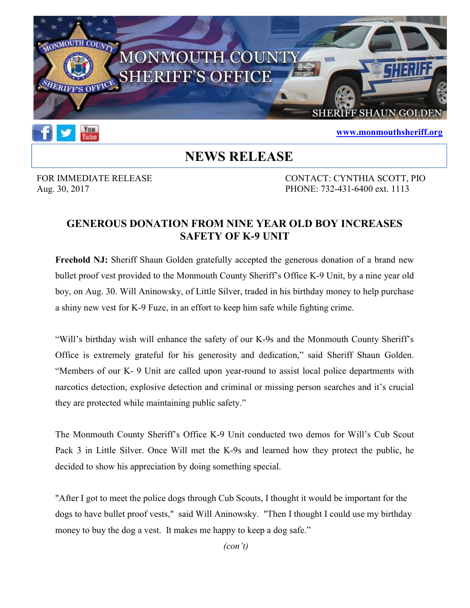



## www.monmouthsheriff.org

## NEWS RELEASE

FOR IMMEDIATE RELEASE CONTACT: CYNTHIA SCOTT, PIO Aug. 30, 2017 PHONE: 732-431-6400 ext. 1113

## GENEROUS DONATION FROM NINE YEAR OLD BOY INCREASES SAFETY OF K-9 UNIT

Freehold NJ: Sheriff Shaun Golden gratefully accepted the generous donation of a brand new bullet proof vest provided to the Monmouth County Sheriff's Office K-9 Unit, by a nine year old boy, on Aug. 30. Will Aninowsky, of Little Silver, traded in his birthday money to help purchase a shiny new vest for K-9 Fuze, in an effort to keep him safe while fighting crime.

"Will's birthday wish will enhance the safety of our K-9s and the Monmouth County Sheriff's Office is extremely grateful for his generosity and dedication," said Sheriff Shaun Golden. "Members of our K- 9 Unit are called upon year-round to assist local police departments with narcotics detection, explosive detection and criminal or missing person searches and it's crucial they are protected while maintaining public safety."

The Monmouth County Sheriff's Office K-9 Unit conducted two demos for Will's Cub Scout Pack 3 in Little Silver. Once Will met the K-9s and learned how they protect the public, he decided to show his appreciation by doing something special.

"After I got to meet the police dogs through Cub Scouts, I thought it would be important for the dogs to have bullet proof vests," said Will Aninowsky. "Then I thought I could use my birthday money to buy the dog a vest. It makes me happy to keep a dog safe."

(con't)